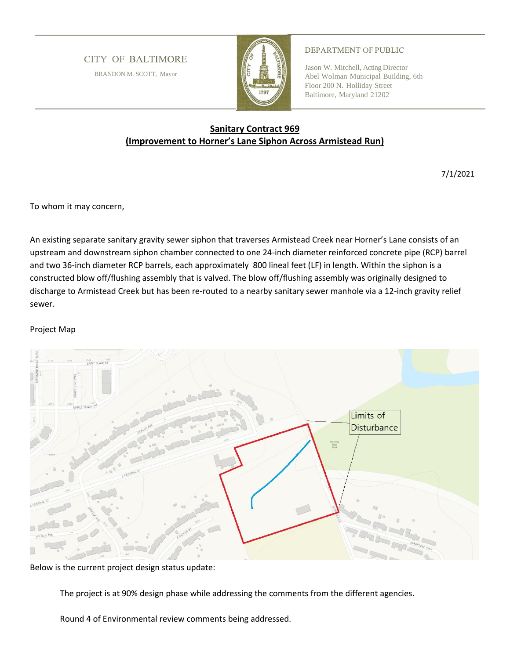## **CITY OF BALTIMORE**

BRANDON M. SCOTT, Mayor



## DEPARTMENT OF PUBLIC

Jason W. Mitchell, Acting Director Abel Wolman Municipal Building, 6th Floor 200 N. Holliday Street Baltimore, Maryland 21202

## **Sanitary Contract 969 (Improvement to Horner's Lane Siphon Across Armistead Run)**

7/1/2021

To whom it may concern,

An existing separate sanitary gravity sewer siphon that traverses Armistead Creek near Horner's Lane consists of an upstream and downstream siphon chamber connected to one 24-inch diameter reinforced concrete pipe (RCP) barrel and two 36-inch diameter RCP barrels, each approximately 800 lineal feet (LF) in length. Within the siphon is a constructed blow off/flushing assembly that is valved. The blow off/flushing assembly was originally designed to discharge to Armistead Creek but has been re-routed to a nearby sanitary sewer manhole via a 12-inch gravity relief sewer.

## Project Map



Below is the current project design status update:

The project is at 90% design phase while addressing the comments from the different agencies.

Round 4 of Environmental review comments being addressed.